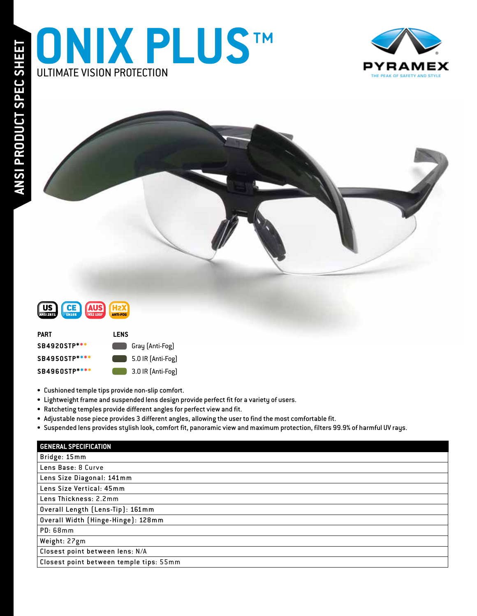





| PART          | LENS                     |
|---------------|--------------------------|
| SB4920STP***  | Gray (Anti-Fog)          |
| SB4950STP**** | $\Box$ 5.0 IR (Anti-Fog) |
| SB4960STP**** | 3.0 IR (Anti-Fog)        |

- Cushioned temple tips provide non-slip comfort.
- Lightweight frame and suspended lens design provide perfect fit for a variety of users.
- Ratcheting temples provide different angles for perfect view and fit.
- Adjustable nose piece provides 3 different angles, allowing the user to find the most comfortable fit.
- Suspended lens provides stylish look, comfort fit, panoramic view and maximum protection, filters 99.9% of harmful UV rays.